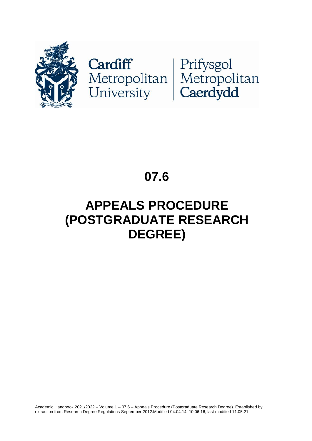

# Cardiff<br>Metropolitan Metropolitan<br>University Caerdydd

## **07.6**

# **APPEALS PROCEDURE (POSTGRADUATE RESEARCH DEGREE)**

Academic Handbook 2021/2022 – Volume 1 – 07.6 – Appeals Procedure (Postgraduate Research Degree). Established by extraction from Research Degree Regulations September 2012.Modified 04.04.14, 10.06.16; last modified 11.05.21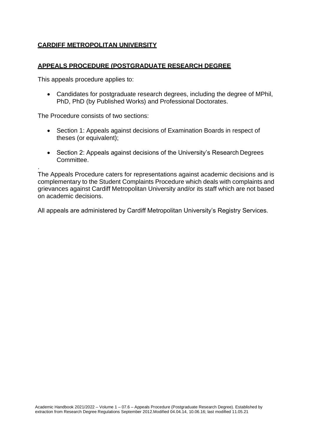## **CARDIFF METROPOLITAN UNIVERSITY**

#### **APPEALS PROCEDURE (POSTGRADUATE RESEARCH DEGREE**

This appeals procedure applies to:

.

• Candidates for postgraduate research degrees, including the degree of MPhil, PhD, PhD (by Published Works) and Professional Doctorates.

The Procedure consists of two sections:

- Section 1: Appeals against decisions of Examination Boards in respect of theses (or equivalent);
- Section 2: Appeals against decisions of the University's Research Degrees Committee.

The Appeals Procedure caters for representations against academic decisions and is complementary to the Student Complaints Procedure which deals with complaints and grievances against Cardiff Metropolitan University and/or its staff which are not based on academic decisions.

All appeals are administered by Cardiff Metropolitan University's Registry Services.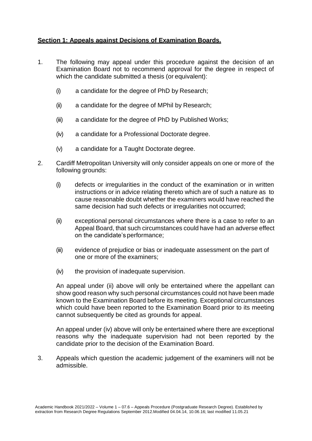### **Section 1: Appeals against Decisions of Examination Boards.**

- 1. The following may appeal under this procedure against the decision of an Examination Board not to recommend approval for the degree in respect of which the candidate submitted a thesis (or equivalent):
	- (i) a candidate for the degree of PhD by Research;
	- (ii) a candidate for the degree of MPhil by Research;
	- (iii) a candidate for the degree of PhD by Published Works;
	- (iv) a candidate for a Professional Doctorate degree.
	- (v) a candidate for a Taught Doctorate degree.
- 2. Cardiff Metropolitan University will only consider appeals on one or more of the following grounds:
	- (i) defects or irregularities in the conduct of the examination or in written instructions or in advice relating thereto which are of such a nature as to cause reasonable doubt whether the examiners would have reached the same decision had such defects or irregularities not occurred;
	- (ii) exceptional personal circumstances where there is a case to refer to an Appeal Board, that such circumstances could have had an adverse effect on the candidate's performance;
	- (iii) evidence of prejudice or bias or inadequate assessment on the part of one or more of the examiners;
	- (iv) the provision of inadequate supervision.

An appeal under (ii) above will only be entertained where the appellant can show good reason why such personal circumstances could not have been made known to the Examination Board before its meeting. Exceptional circumstances which could have been reported to the Examination Board prior to its meeting cannot subsequently be cited as grounds for appeal.

An appeal under (iv) above will only be entertained where there are exceptional reasons why the inadequate supervision had not been reported by the candidate prior to the decision of the Examination Board.

3. Appeals which question the academic judgement of the examiners will not be admissible.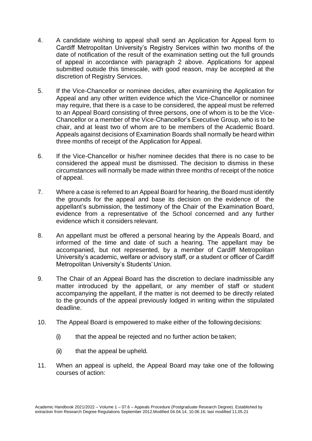- 4. A candidate wishing to appeal shall send an Application for Appeal form to Cardiff Metropolitan University's Registry Services within two months of the date of notification of the result of the examination setting out the full grounds of appeal in accordance with paragraph 2 above. Applications for appeal submitted outside this timescale, with good reason, may be accepted at the discretion of Registry Services.
- 5. If the Vice-Chancellor or nominee decides, after examining the Application for Appeal and any other written evidence which the Vice-Chancellor or nominee may require, that there is a case to be considered, the appeal must be referred to an Appeal Board consisting of three persons, one of whom is to be the Vice-Chancellor or a member of the Vice-Chancellor's Executive Group, who is to be chair, and at least two of whom are to be members of the Academic Board. Appeals against decisions of Examination Boards shall normally be heard within three months of receipt of the Application for Appeal.
- 6. If the Vice-Chancellor or his/her nominee decides that there is no case to be considered the appeal must be dismissed. The decision to dismiss in these circumstances will normally be made within three months of receipt of the notice of appeal.
- 7. Where a case is referred to an Appeal Board for hearing, the Board must identify the grounds for the appeal and base its decision on the evidence of the appellant's submission, the testimony of the Chair of the Examination Board, evidence from a representative of the School concerned and any further evidence which it considers relevant.
- 8. An appellant must be offered a personal hearing by the Appeals Board, and informed of the time and date of such a hearing. The appellant may be accompanied, but not represented, by a member of Cardiff Metropolitan University's academic, welfare or advisory staff, or a student or officer of Cardiff Metropolitan University's Students'Union.
- 9. The Chair of an Appeal Board has the discretion to declare inadmissible any matter introduced by the appellant, or any member of staff or student accompanying the appellant, if the matter is not deemed to be directly related to the grounds of the appeal previously lodged in writing within the stipulated deadline.
- 10. The Appeal Board is empowered to make either of the following decisions:
	- (i) that the appeal be rejected and no further action be taken;
	- (ii) that the appeal be upheld.
- 11. When an appeal is upheld, the Appeal Board may take one of the following courses of action: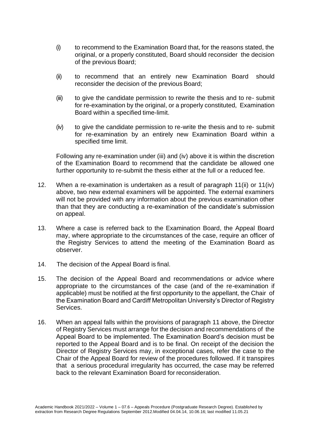- (i) to recommend to the Examination Board that, for the reasons stated, the original, or a properly constituted, Board should reconsider the decision of the previous Board;
- (ii) to recommend that an entirely new Examination Board should reconsider the decision of the previous Board;
- (iii) to give the candidate permission to rewrite the thesis and to re- submit for re-examination by the original, or a properly constituted, Examination Board within a specified time-limit.
- (iv) to give the candidate permission to re-write the thesis and to re- submit for re-examination by an entirely new Examination Board within a specified time limit.

Following any re-examination under (iii) and (iv) above it is within the discretion of the Examination Board to recommend that the candidate be allowed one further opportunity to re-submit the thesis either at the full or a reduced fee.

- 12. When a re-examination is undertaken as a result of paragraph 11(ii) or 11(iv) above, two new external examiners will be appointed. The external examiners will not be provided with any information about the previous examination other than that they are conducting a re-examination of the candidate's submission on appeal.
- 13. Where a case is referred back to the Examination Board, the Appeal Board may, where appropriate to the circumstances of the case, require an officer of the Registry Services to attend the meeting of the Examination Board as observer.
- 14. The decision of the Appeal Board is final.
- 15. The decision of the Appeal Board and recommendations or advice where appropriate to the circumstances of the case (and of the re-examination if applicable) must be notified at the first opportunity to the appellant, the Chair of the Examination Board and Cardiff Metropolitan University's Director of Registry Services.
- 16. When an appeal falls within the provisions of paragraph 11 above, the Director of Registry Services must arrange for the decision and recommendations of the Appeal Board to be implemented. The Examination Board's decision must be reported to the Appeal Board and is to be final. On receipt of the decision the Director of Registry Services may, in exceptional cases, refer the case to the Chair of the Appeal Board for review of the procedures followed. If it transpires that a serious procedural irregularity has occurred, the case may be referred back to the relevant Examination Board for reconsideration.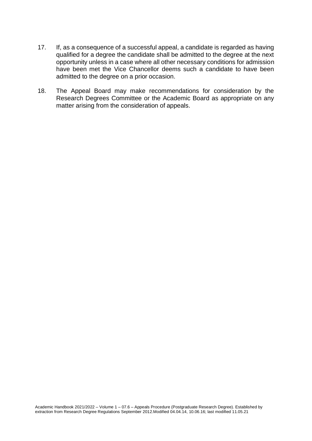- 17. If, as a consequence of a successful appeal, a candidate is regarded as having qualified for a degree the candidate shall be admitted to the degree at the next opportunity unless in a case where all other necessary conditions for admission have been met the Vice Chancellor deems such a candidate to have been admitted to the degree on a prior occasion.
- 18. The Appeal Board may make recommendations for consideration by the Research Degrees Committee or the Academic Board as appropriate on any matter arising from the consideration of appeals.